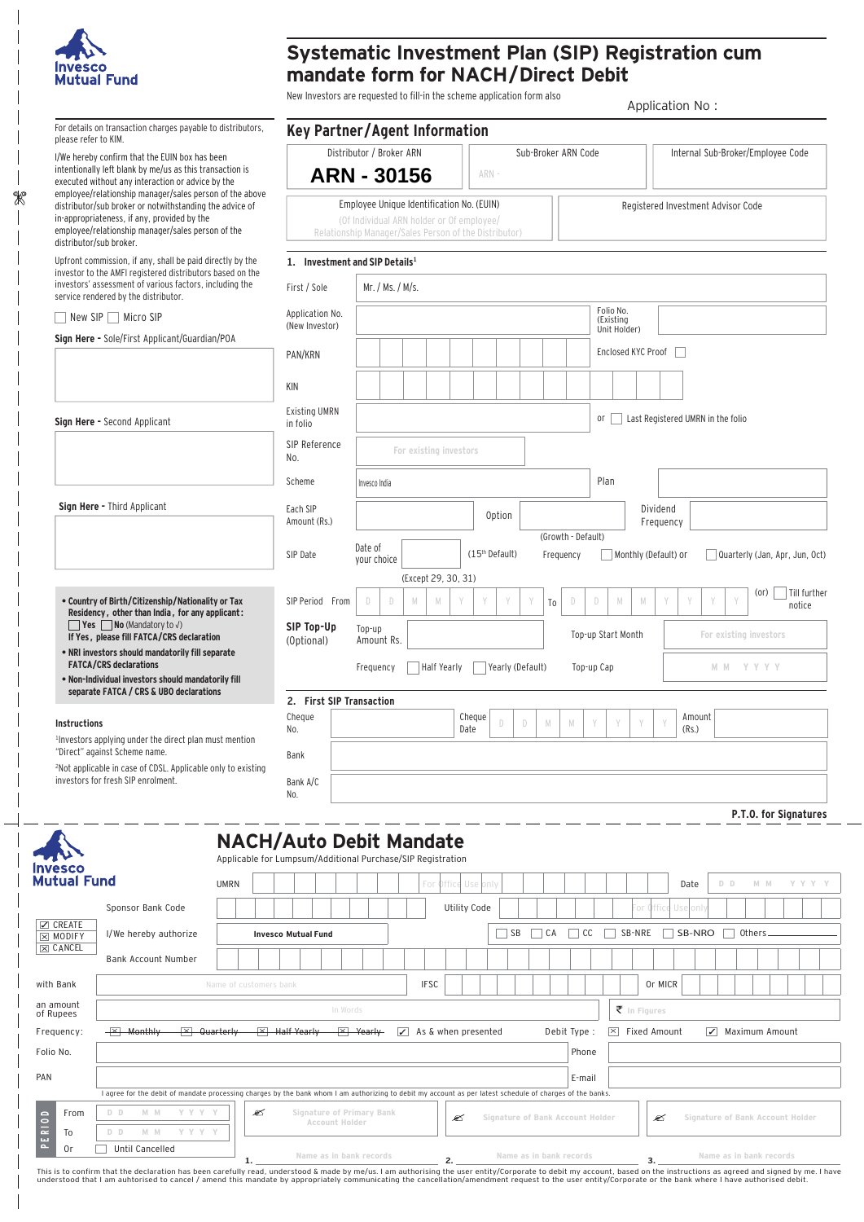

 $\mathscr{R}$ 

## **Systematic Investment Plan (SIP) Registration cum mandate form for NACH/Direct Debit**

New Investors are requested to fill-in the scheme application form also

Application No : Application No :

|                                                                                                                                                                                             | For details on transaction charges payable to distributors,                                                                                                                      |                                                                                                                    |                                                                                               |                                           |                  |                                |                     |                            |                                  |                        |                                    |        |                                    |                                   |                                  |     |         |                          |                                |
|---------------------------------------------------------------------------------------------------------------------------------------------------------------------------------------------|----------------------------------------------------------------------------------------------------------------------------------------------------------------------------------|--------------------------------------------------------------------------------------------------------------------|-----------------------------------------------------------------------------------------------|-------------------------------------------|------------------|--------------------------------|---------------------|----------------------------|----------------------------------|------------------------|------------------------------------|--------|------------------------------------|-----------------------------------|----------------------------------|-----|---------|--------------------------|--------------------------------|
| please refer to KIM.                                                                                                                                                                        |                                                                                                                                                                                  |                                                                                                                    | <b>Key Partner/Agent Information</b>                                                          |                                           |                  |                                |                     |                            |                                  |                        |                                    |        |                                    |                                   |                                  |     |         |                          |                                |
|                                                                                                                                                                                             | I/We hereby confirm that the EUIN box has been<br>intentionally left blank by me/us as this transaction is<br>executed without any interaction or advice by the                  | Distributor / Broker ARN<br>Internal Sub-Broker/Employee Code<br>Sub-Broker ARN Code<br><b>ARN - 30156</b><br>ARN- |                                                                                               |                                           |                  |                                |                     |                            |                                  |                        |                                    |        |                                    |                                   |                                  |     |         |                          |                                |
|                                                                                                                                                                                             | employee/relationship manager/sales person of the above<br>distributor/sub broker or notwithstanding the advice of                                                               |                                                                                                                    |                                                                                               | Employee Unique Identification No. (EUIN) |                  |                                |                     |                            |                                  |                        |                                    |        | Registered Investment Advisor Code |                                   |                                  |     |         |                          |                                |
|                                                                                                                                                                                             | in-appropriateness, if any, provided by the<br>employee/relationship manager/sales person of the<br>distributor/sub broker.                                                      | (Of Individual ARN holder or Of employee/<br>Relationship Manager/Sales Person of the Distributor)                 |                                                                                               |                                           |                  |                                |                     |                            |                                  |                        |                                    |        |                                    |                                   |                                  |     |         |                          |                                |
|                                                                                                                                                                                             | Upfront commission, if any, shall be paid directly by the                                                                                                                        |                                                                                                                    | 1. Investment and SIP Details <sup>1</sup>                                                    |                                           |                  |                                |                     |                            |                                  |                        |                                    |        |                                    |                                   |                                  |     |         |                          |                                |
|                                                                                                                                                                                             | investor to the AMFI registered distributors based on the<br>investors' assessment of various factors, including the<br>service rendered by the distributor.                     |                                                                                                                    | First / Sole                                                                                  |                                           | Mr. / Ms. / M/s. |                                |                     |                            |                                  |                        |                                    |        |                                    |                                   |                                  |     |         |                          |                                |
|                                                                                                                                                                                             | New SIP Micro SIP                                                                                                                                                                |                                                                                                                    | Application No.<br>(New Investor)                                                             |                                           |                  |                                |                     |                            |                                  | Folio No.<br>(Existing |                                    |        |                                    |                                   |                                  |     |         |                          |                                |
|                                                                                                                                                                                             | Sign Here - Sole/First Applicant/Guardian/POA                                                                                                                                    | PAN/KRN                                                                                                            |                                                                                               |                                           |                  |                                |                     |                            |                                  |                        | Unit Holder)<br>Enclosed KYC Proof |        |                                    |                                   |                                  |     |         |                          |                                |
|                                                                                                                                                                                             |                                                                                                                                                                                  |                                                                                                                    | KIN                                                                                           |                                           |                  |                                |                     |                            |                                  |                        |                                    |        |                                    |                                   |                                  |     |         |                          |                                |
|                                                                                                                                                                                             | Sign Here - Second Applicant                                                                                                                                                     |                                                                                                                    | <b>Existing UMRN</b>                                                                          |                                           |                  |                                |                     |                            |                                  |                        | 0r                                 |        |                                    | Last Registered UMRN in the folio |                                  |     |         |                          |                                |
|                                                                                                                                                                                             |                                                                                                                                                                                  |                                                                                                                    | in folio<br>SIP Reference                                                                     |                                           |                  |                                |                     |                            |                                  |                        |                                    |        |                                    |                                   |                                  |     |         |                          |                                |
|                                                                                                                                                                                             |                                                                                                                                                                                  |                                                                                                                    | No.                                                                                           | For existing investors                    |                  |                                |                     |                            |                                  |                        |                                    |        |                                    |                                   |                                  |     |         |                          |                                |
|                                                                                                                                                                                             |                                                                                                                                                                                  |                                                                                                                    | Scheme                                                                                        | Invesco India                             |                  |                                |                     |                            |                                  |                        | Plan                               |        |                                    |                                   |                                  |     |         |                          |                                |
|                                                                                                                                                                                             | Sign Here - Third Applicant                                                                                                                                                      |                                                                                                                    | Each SIP                                                                                      |                                           |                  |                                |                     | Option                     |                                  |                        |                                    |        |                                    | Dividend                          |                                  |     |         |                          |                                |
|                                                                                                                                                                                             |                                                                                                                                                                                  |                                                                                                                    | Amount (Rs.)                                                                                  |                                           |                  |                                |                     |                            |                                  | (Growth - Default)     |                                    |        |                                    | Frequency                         |                                  |     |         |                          |                                |
|                                                                                                                                                                                             |                                                                                                                                                                                  |                                                                                                                    | SIP Date                                                                                      | Date of<br>your choice                    |                  |                                |                     | (15 <sup>th</sup> Default) |                                  | Frequency              |                                    |        |                                    | Monthly (Default) or              |                                  |     |         |                          | Quarterly (Jan, Apr, Jun, Oct) |
|                                                                                                                                                                                             | • Country of Birth/Citizenship/Nationality or Tax                                                                                                                                |                                                                                                                    | SIP Period From                                                                               | D                                         | D<br>M           | (Except 29, 30, 31)<br>M       |                     |                            | To                               | D                      | D                                  | M      | M                                  |                                   |                                  |     | (or)    |                          | Till further                   |
| Residency, other than India, for any applicant:<br><b>Yes No</b> (Mandatory to $\sqrt{}$ )<br>If Yes, please fill FATCA/CRS declaration<br>. NRI investors should mandatorily fill separate |                                                                                                                                                                                  |                                                                                                                    | SIP Top-Up                                                                                    |                                           |                  |                                |                     |                            |                                  |                        |                                    |        |                                    |                                   |                                  |     |         |                          | notice                         |
|                                                                                                                                                                                             |                                                                                                                                                                                  |                                                                                                                    | (Optional)                                                                                    | Top-up<br>Amount Rs.                      |                  |                                |                     |                            |                                  |                        | Top-up Start Month                 |        |                                    |                                   | For existing investors           |     |         |                          |                                |
|                                                                                                                                                                                             | <b>FATCA/CRS</b> declarations<br>. Non-Individual investors should mandatorily fill                                                                                              |                                                                                                                    | Half Yearly<br>Yearly (Default)<br>Top-up Cap<br>M M Y Y Y Y<br>Frequency                     |                                           |                  |                                |                     |                            |                                  |                        |                                    |        |                                    |                                   |                                  |     |         |                          |                                |
|                                                                                                                                                                                             | separate FATCA / CRS & UBO declarations                                                                                                                                          |                                                                                                                    | 2. First SIP Transaction                                                                      |                                           |                  |                                |                     |                            |                                  |                        |                                    |        |                                    |                                   |                                  |     |         |                          |                                |
| Instructions                                                                                                                                                                                |                                                                                                                                                                                  |                                                                                                                    | Cheque<br>No.                                                                                 |                                           |                  |                                | Cheque<br>Date      | D                          | D<br>${\mathbb M}$               | M                      |                                    | Y      |                                    | (Rs.)                             | Amount                           |     |         |                          |                                |
|                                                                                                                                                                                             | <sup>1</sup> Investors applying under the direct plan must mention<br>"Direct" against Scheme name.                                                                              |                                                                                                                    | Bank                                                                                          |                                           |                  |                                |                     |                            |                                  |                        |                                    |        |                                    |                                   |                                  |     |         |                          |                                |
|                                                                                                                                                                                             | <sup>2</sup> Not applicable in case of CDSL. Applicable only to existing<br>investors for fresh SIP enrolment.                                                                   |                                                                                                                    | Bank A/C                                                                                      |                                           |                  |                                |                     |                            |                                  |                        |                                    |        |                                    |                                   |                                  |     |         |                          |                                |
|                                                                                                                                                                                             |                                                                                                                                                                                  |                                                                                                                    | No.                                                                                           |                                           |                  |                                |                     |                            |                                  |                        |                                    |        |                                    |                                   |                                  |     |         |                          |                                |
|                                                                                                                                                                                             |                                                                                                                                                                                  |                                                                                                                    |                                                                                               |                                           |                  |                                |                     |                            |                                  |                        |                                    |        |                                    |                                   |                                  |     |         |                          | P.T.O. for Signatures          |
|                                                                                                                                                                                             |                                                                                                                                                                                  |                                                                                                                    | <b>NACH/Auto Debit Mandate</b><br>Applicable for Lumpsum/Additional Purchase/SIP Registration |                                           |                  |                                |                     |                            |                                  |                        |                                    |        |                                    |                                   |                                  |     |         |                          |                                |
| nvesco<br>Mutual Fund                                                                                                                                                                       |                                                                                                                                                                                  |                                                                                                                    |                                                                                               |                                           |                  |                                |                     |                            |                                  |                        |                                    |        |                                    |                                   |                                  | D D |         |                          | Y Y Y Y                        |
|                                                                                                                                                                                             |                                                                                                                                                                                  | <b>UMRN</b>                                                                                                        |                                                                                               |                                           |                  | For                            | Office Use only     |                            |                                  |                        |                                    |        |                                    | Date                              |                                  |     | $M$ $M$ |                          |                                |
| $\boxtimes$ CREATE                                                                                                                                                                          | Sponsor Bank Code                                                                                                                                                                |                                                                                                                    |                                                                                               |                                           |                  |                                | <b>Utility Code</b> |                            |                                  |                        |                                    |        | or Offic                           | Use onl                           |                                  |     |         |                          |                                |
| $\times$ MODIFY<br>$\times$ CANCEL                                                                                                                                                          | I/We hereby authorize                                                                                                                                                            |                                                                                                                    | <b>Invesco Mutual Fund</b>                                                                    |                                           |                  |                                |                     | $\Box$ SB                  | $\Box$ CA                        | $\Box$ CC              |                                    | SB-NRE |                                    | $\Box$ SB-NRO                     |                                  |     | Others  |                          |                                |
|                                                                                                                                                                                             | Bank Account Number                                                                                                                                                              |                                                                                                                    |                                                                                               |                                           |                  |                                |                     |                            |                                  |                        |                                    |        |                                    |                                   |                                  |     |         |                          |                                |
| with Bank                                                                                                                                                                                   |                                                                                                                                                                                  | Name of customers bank                                                                                             |                                                                                               |                                           |                  | <b>IFSC</b>                    |                     |                            |                                  |                        |                                    |        |                                    | Or MICR                           |                                  |     |         |                          |                                |
| an amount<br>of Rupees                                                                                                                                                                      |                                                                                                                                                                                  |                                                                                                                    | In Words                                                                                      |                                           |                  |                                |                     |                            |                                  |                        |                                    |        | $\bar{\tau}$ In Figures            |                                   |                                  |     |         |                          |                                |
| Frequency:                                                                                                                                                                                  | $\overline{\mathsf{X}}$ Monthly                                                                                                                                                  | $ \overline{\times} $ Quarterly                                                                                    | $\overline{X}$ Half Yearly                                                                    | $\frac{1}{2}$ Yearly                      |                  | $\sqrt{ }$ As & when presented |                     |                            |                                  | Debit Type :           |                                    |        |                                    | $\vert x \vert$ Fixed Amount      |                                  |     |         | $\sqrt{}$ Maximum Amount |                                |
| Folio No.                                                                                                                                                                                   |                                                                                                                                                                                  |                                                                                                                    |                                                                                               |                                           |                  |                                |                     |                            |                                  |                        | Phone                              |        |                                    |                                   |                                  |     |         |                          |                                |
|                                                                                                                                                                                             |                                                                                                                                                                                  |                                                                                                                    |                                                                                               |                                           |                  |                                |                     |                            |                                  |                        | E-mail                             |        |                                    |                                   |                                  |     |         |                          |                                |
|                                                                                                                                                                                             |                                                                                                                                                                                  |                                                                                                                    |                                                                                               |                                           |                  |                                |                     |                            |                                  |                        |                                    |        |                                    |                                   |                                  |     |         |                          |                                |
| PAN<br>From                                                                                                                                                                                 | I agree for the debit of mandate processing charges by the bank whom I am authorizing to debit my account as per latest schedule of charges of the banks.<br>D D<br>M M<br>Y Y Y | B                                                                                                                  | Signature of Primary Bank                                                                     |                                           |                  |                                |                     |                            |                                  |                        |                                    |        |                                    |                                   |                                  |     |         |                          |                                |
| To                                                                                                                                                                                          | $D$ $D$<br>M M<br>Y Y Y Y                                                                                                                                                        |                                                                                                                    | Account Holder                                                                                |                                           |                  |                                | B                   |                            | Signature of Bank Account Holder |                        |                                    |        |                                    | B                                 | Signature of Bank Account Holder |     |         |                          |                                |

ame as in Dank Fecoras (and the declaration has been carefully read, understand and the astal Dank Fecoras (and the disk moderation of the user entity/Corporate to debit my account, based on the instructions as agreed and